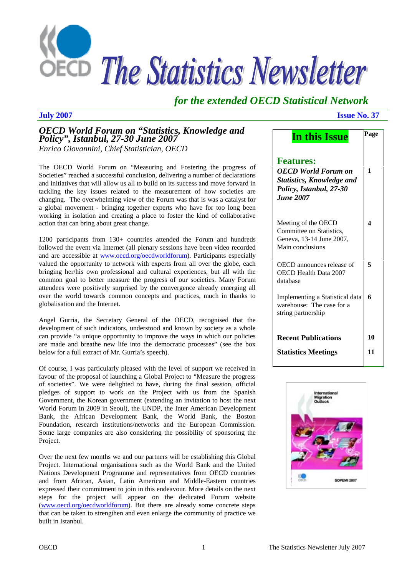

# *for the extended OECD Statistical Network*

# *OECD World Forum on "Statistics, Knowledge and Policy", Istanbul, 27-30 June 2007 Enrico Giovannini, Chief Statistician, OECD*

The OECD World Forum on "Measuring and Fostering the progress of Societies" reached a successful conclusion, delivering a number of declarations and initiatives that will allow us all to build on its success and move forward in tackling the key issues related to the measurement of how societies are changing. The overwhelming view of the Forum was that is was a catalyst for a global movement - bringing together experts who have for too long been working in isolation and creating a place to foster the kind of collaborative action that can bring about great change.

1200 participants from 130+ countries attended the Forum and hundreds followed the event via Internet (all plenary sessions have been video recorded and are accessible at www.oecd.org/oecdworldforum). Participants especially valued the opportunity to network with experts from all over the globe, each bringing her/his own professional and cultural experiences, but all with the common goal to better measure the progress of our societies. Many Forum attendees were positively surprised by the convergence already emerging all over the world towards common concepts and practices, much in thanks to globalisation and the Internet.

Angel Gurria, the Secretary General of the OECD, recognised that the development of such indicators, understood and known by society as a whole can provide "a unique opportunity to improve the ways in which our policies are made and breathe new life into the democratic processes" (see the box below for a full extract of Mr. Gurria's speech).

Of course, I was particularly pleased with the level of support we received in favour of the proposal of launching a Global Project to "Measure the progress of societies". We were delighted to have, during the final session, official pledges of support to work on the Project with us from the Spanish Government, the Korean government (extending an invitation to host the next World Forum in 2009 in Seoul), the UNDP, the Inter American Development Bank, the African Development Bank, the World Bank, the Boston Foundation, research institutions/networks and the European Commission. Some large companies are also considering the possibility of sponsoring the Project.

Over the next few months we and our partners will be establishing this Global Project. International organisations such as the World Bank and the United Nations Development Programme and representatives from OECD countries and from African, Asian, Latin American and Middle-Eastern countries expressed their commitment to join in this endeavour. More details on the next steps for the project will appear on the dedicated Forum website (www.oecd.org/oecdworldforum). But there are already some concrete steps that can be taken to strengthen and even enlarge the community of practice we built in Istanbul.

#### **July 2007 Issue No. 37**

| In this Issue                                                                                                                     | Page |
|-----------------------------------------------------------------------------------------------------------------------------------|------|
| <b>Features:</b><br><b>OECD</b> World Forum on<br><b>Statistics, Knowledge and</b><br>Policy, Istanbul, 27-30<br><b>June 2007</b> | 1    |
| Meeting of the OECD<br>Committee on Statistics,<br>Geneva, 13-14 June 2007,<br>Main conclusions                                   | 4    |
| OECD announces release of<br>OECD Health Data 2007<br>database                                                                    | 5    |
| Implementing a Statistical data<br>warehouse: The case for a<br>string partnership                                                | 6    |
| <b>Recent Publications</b>                                                                                                        | 10   |
| <b>Statistics Meetings</b>                                                                                                        | 11   |

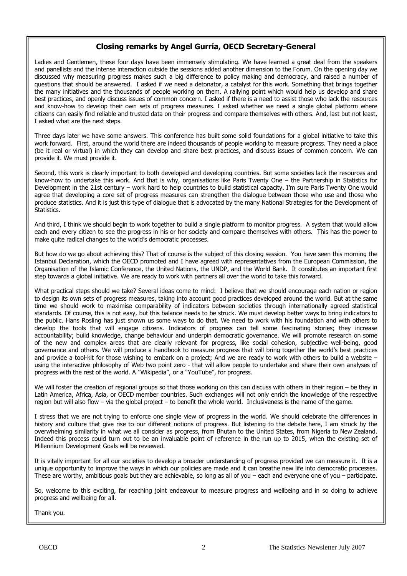### Closing remarks by Angel Gurría, OECD Secretary-General

Ladies and Gentlemen, these four days have been immensely stimulating. We have learned a great deal from the speakers and panellists and the intense interaction outside the sessions added another dimension to the Forum. On the opening day we discussed why measuring progress makes such a big difference to policy making and democracy, and raised a number of questions that should be answered. I asked if we need a detonator, a catalyst for this work. Something that brings together the many initiatives and the thousands of people working on them. A rallying point which would help us develop and share best practices, and openly discuss issues of common concern. I asked if there is a need to assist those who lack the resources and know-how to develop their own sets of progress measures. I asked whether we need a single global platform where citizens can easily find reliable and trusted data on their progress and compare themselves with others. And, last but not least, I asked what are the next steps.

Three days later we have some answers. This conference has built some solid foundations for a global initiative to take this work forward. First, around the world there are indeed thousands of people working to measure progress. They need a place (be it real or virtual) in which they can develop and share best practices, and discuss issues of common concern. We can provide it. We must provide it.

Second, this work is clearly important to both developed and developing countries. But some societies lack the resources and know-how to undertake this work. And that is why, organisations like Paris Twenty One - the Partnership in Statistics for Development in the 21st century - work hard to help countries to build statistical capacity. I'm sure Paris Twenty One would agree that developing a core set of progress measures can strengthen the dialogue between those who use and those who produce statistics. And it is just this type of dialogue that is advocated by the many National Strategies for the Development of Statistics.

And third, I think we should begin to work together to build a single platform to monitor progress. A system that would allow each and every citizen to see the progress in his or her society and compare themselves with others. This has the power to make quite radical changes to the world's democratic processes.

But how do we go about achieving this? That of course is the subject of this closing session. You have seen this morning the Istanbul Declaration, which the OECD promoted and I have agreed with representatives from the European Commission, the Organisation of the Islamic Conference, the United Nations, the UNDP, and the World Bank. It constitutes an important first step towards a global initiative. We are ready to work with partners all over the world to take this forward.

What practical steps should we take? Several ideas come to mind: I believe that we should encourage each nation or region to design its own sets of progress measures, taking into account good practices developed around the world. But at the same time we should work to maximise comparability of indicators between societies through internationally agreed statistical standards. Of course, this is not easy, but this balance needs to be struck. We must develop better ways to bring indicators to the public. Hans Rosling has just shown us some ways to do that. We need to work with his foundation and with others to develop the tools that will engage citizens. Indicators of progress can tell some fascinating stories; they increase accountability; build knowledge, change behaviour and underpin democratic governance. We will promote research on some of the new and complex areas that are clearly relevant for progress, like social cohesion, subjective well-being, good governance and others. We will produce a handbook to measure progress that will bring together the world's best practices and provide a tool-kit for those wishing to embark on a project; And we are ready to work with others to build a website using the interactive philosophy of Web two point zero - that will allow people to undertake and share their own analyses of progress with the rest of the world. A 'Wikipedia", or a "YouTube", for progress.

We will foster the creation of regional groups so that those working on this can discuss with others in their region – be they in Latin America, Africa, Asia, or OECD member countries. Such exchanges will not only enrich the knowledge of the respective region but will also flow – via the global project – to benefit the whole world. Inclusiveness is the name of the game.

I stress that we are not trying to enforce one single view of progress in the world. We should celebrate the differences in history and culture that give rise to our different notions of progress. But listening to the debate here, I am struck by the overwhelming similarity in what we all consider as progress, from Bhutan to the United States, from Nigeria to New Zealand. Indeed this process could turn out to be an invaluable point of reference in the run up to 2015, when the existing set of Millennium Development Goals will be reviewed.

It is vitally important for all our societies to develop a broader understanding of progress provided we can measure it. It is a unique opportunity to improve the ways in which our policies are made and it can breathe new life into democratic processes. These are worthy, ambitious goals but they are achievable, so long as all of you – each and everyone one of you – participate.

So, welcome to this exciting, far reaching joint endeavour to measure progress and wellbeing and in so doing to achieve progress and wellbeing for all.

Thank you.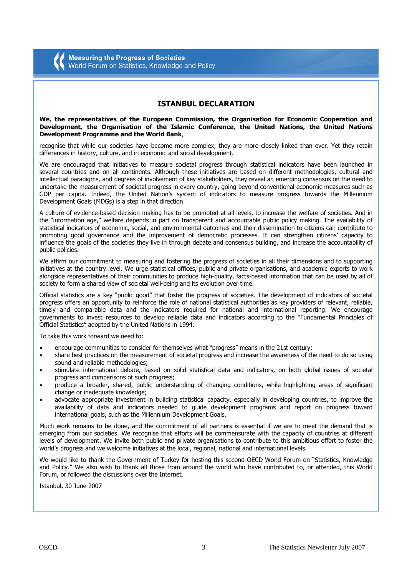#### **ISTANBUL DECLARATION**

#### We, the representatives of the European Commission, the Organisation for Economic Cooperation and Development, the Organisation of the Islamic Conference, the United Nations, the United Nations Development Programme and the World Bank,

recognise that while our societies have become more complex, they are more closely linked than ever. Yet they retain differences in history, culture, and in economic and social development.

We are encouraged that initiatives to measure societal progress through statistical indicators have been launched in several countries and on all continents. Although these initiatives are based on different methodologies, cultural and intellectual paradigms, and degrees of involvement of key stakeholders, they reveal an emerging consensus on the need to undertake the measurement of societal progress in every country, going beyond conventional economic measures such as GDP per capita. Indeed, the United Nation's system of indicators to measure progress towards the Millennium Development Goals (MDGs) is a step in that direction.

A culture of evidence-based decision making has to be promoted at all levels, to increase the welfare of societies. And in the "information age," welfare depends in part on transparent and accountable public policy making. The availability of statistical indicators of economic, social, and environmental outcomes and their dissemination to citizens can contribute to promoting good governance and the improvement of democratic processes. It can strengthen citizens' capacity to influence the goals of the societies they live in through debate and consensus building, and increase the accountability of public policies.

We affirm our commitment to measuring and fostering the progress of societies in all their dimensions and to supporting initiatives at the country level. We urge statistical offices, public and private organisations, and academic experts to work alongside representatives of their communities to produce high-quality, facts-based information that can be used by all of society to form a shared view of societal well-being and its evolution over time.

Official statistics are a key "public good" that foster the progress of societies. The development of indicators of societal progress offers an opportunity to reinforce the role of national statistical authorities as key providers of relevant, reliable, timely and comparable data and the indicators required for national and international reporting. We encourage governments to invest resources to develop reliable data and indicators according to the "Fundamental Principles of Official Statistics" adopted by the United Nations in 1994.

To take this work forward we need to:

- encourage communities to consider for themselves what "progress" means in the 21st century:
- share best practices on the measurement of societal progress and increase the awareness of the need to do so using sound and reliable methodologies:
- stimulate international debate, based on solid statistical data and indicators, on both global issues of societal  $\bullet$ progress and comparisons of such progress;
- produce a broader, shared, public understanding of changing conditions, while highlighting areas of significant  $\bullet$ change or inadequate knowledge:
- advocate appropriate investment in building statistical capacity, especially in developing countries, to improve the availability of data and indicators needed to quide development programs and report on progress toward international goals, such as the Millennium Development Goals.

Much work remains to be done, and the commitment of all partners is essential if we are to meet the demand that is emerging from our societies. We recognise that efforts will be commensurate with the capacity of countries at different levels of development. We invite both public and private organisations to contribute to this ambitious effort to foster the world's progress and we welcome initiatives at the local, regional, national and international levels.

We would like to thank the Government of Turkey for hosting this second OECD World Forum on "Statistics, Knowledge and Policy." We also wish to thank all those from around the world who have contributed to, or attended, this World Forum, or followed the discussions over the Internet.

Istanbul, 30 June 2007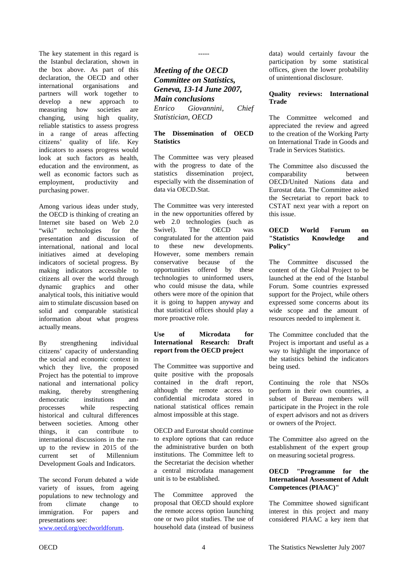<span id="page-3-0"></span>The key statement in this regard is the Istanbul declaration, shown in the box above. As part of this declaration, the OECD and other international organisations and partners will work together to develop a new approach to measuring how societies are changing, using high quality, reliable statistics to assess progress in a range of areas affecting citizens' quality of life. Key indicators to assess progress would look at such factors as health, education and the environment, as well as economic factors such as employment, productivity and purchasing power.

Among various ideas under study, the OECD is thinking of creating an Internet site based on Web 2.0 "wiki" technologies for the presentation and discussion of international, national and local initiatives aimed at developing indicators of societal progress. By making indicators accessible to citizens all over the world through dynamic graphics and other analytical tools, this initiative would aim to stimulate discussion based on solid and comparable statistical information about what progress actually means.

By strengthening individual citizens' capacity of understanding the social and economic context in which they live, the proposed Project has the potential to improve national and international policy making, thereby strengthening democratic institutions and processes while respecting historical and cultural differences between societies. Among other things, it can contribute to international discussions in the runup to the review in 2015 of the current set of Millennium Development Goals and Indicators.

The second Forum debated a wide variety of issues, from ageing populations to new technology and from climate change to immigration. For papers and presentations see:

www.oecd.org/oecdworldforum.

-----

*Meeting of the OECD Committee on Statistics, Geneva, 13-14 June 2007, Main conclusions Enrico Giovannini, Chief Statistician, OECD* 

#### **The Dissemination of OECD Statistics**

The Committee was very pleased with the progress to date of the statistics dissemination project, especially with the dissemination of data via OECD.Stat.

The Committee was very interested in the new opportunities offered by web 2.0 technologies (such as Swivel). The OECD was congratulated for the attention paid to these new developments. However, some members remain conservative because of the opportunities offered by these technologies to uninformed users, who could misuse the data, while others were more of the opinion that it is going to happen anyway and that statistical offices should play a more proactive role.

#### **Use of Microdata for International Research: Draft report from the OECD project**

The Committee was supportive and quite positive with the proposals contained in the draft report, although the remote access to confidential microdata stored in national statistical offices remain almost impossible at this stage.

OECD and Eurostat should continue to explore options that can reduce the administrative burden on both institutions. The Committee left to the Secretariat the decision whether a central microdata management unit is to be established.

The Committee approved the proposal that OECD should explore the remote access option launching one or two pilot studies. The use of household data (instead of business

data) would certainly favour the participation by some statistical offices, given the lower probability of unintentional disclosure.

#### **Quality reviews: International Trade**

The Committee welcomed and appreciated the review and agreed to the creation of the Working Party on International Trade in Goods and Trade in Services Statistics.

The Committee also discussed the comparability between OECD/United Nations data and Eurostat data. The Committee asked the Secretariat to report back to CSTAT next year with a report on this issue.

#### **OECD World Forum on "Statistics Knowledge and Policy"**

The Committee discussed the content of the Global Project to be launched at the end of the Istanbul Forum. Some countries expressed support for the Project, while others expressed some concerns about its wide scope and the amount of resources needed to implement it.

The Committee concluded that the Project is important and useful as a way to highlight the importance of the statistics behind the indicators being used.

Continuing the role that NSOs perform in their own countries, a subset of Bureau members will participate in the Project in the role of expert advisors and not as drivers or owners of the Project.

The Committee also agreed on the establishment of the expert group on measuring societal progress.

#### **OECD "Programme for the International Assessment of Adult Competences (PIAAC)"**

The Committee showed significant interest in this project and many considered PIAAC a key item that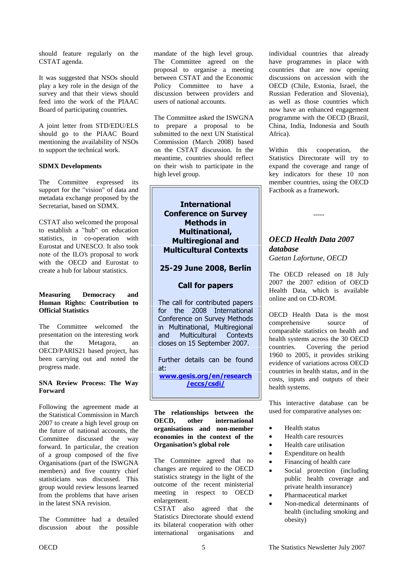<span id="page-4-0"></span>should feature regularly on the CSTAT agenda.

It was suggested that NSOs should play a key role in the design of the survey and that their views should feed into the work of the PIAAC Board of participating countries.

A joint letter from STD/EDU/ELS should go to the PIAAC Board mentioning the availability of NSOs to support the technical work.

#### **SDMX Developments**

The Committee expressed its support for the "vision" of data and metadata exchange proposed by the Secretariat, based on SDMX.

CSTAT also welcomed the proposal to establish a "hub" on education statistics, in co-operation with Eurostat and UNESCO. It also took note of the ILO's proposal to work with the OECD and Eurostat to create a hub for labour statistics.

#### **Measuring Democracy and Human Rights: Contribution to Official Statistics**

The Committee welcomed the presentation on the interesting work that the Metagora, an OECD/PARIS21 based project, has been carrying out and noted the progress made.

#### **SNA Review Process: The Way Forward**

Following the agreement made at the Statistical Commission in March 2007 to create a high level group on the future of national accounts, the Committee discussed the way forward. In particular, the creation of a group composed of the five Organisations (part of the ISWGNA members) and five country chief statisticians was discussed. This group would review lessons learned from the problems that have arisen in the latest SNA revision.

The Committee had a detailed discussion about the possible mandate of the high level group. The Committee agreed on the proposal to organise a meeting between CSTAT and the Economic Policy Committee to have a discussion between providers and users of national accounts.

The Committee asked the ISWGNA to prepare a proposal to be submitted to the next UN Statistical Commission (March 2008) based on the CSTAT discussion. In the meantime, countries should reflect on their wish to participate in the high level group.

**International Conference on Survey Methods in Multinational, Multiregional and Multicultural Contexts** 

### **25-29 June 2008, Berlin**

#### **Call for papers**

The call for contributed papers for the 2008 International Conference on Survey Methods in Multinational, Multiregional and Multicultural Contexts closes on 15 September 2007.

Further details can be found at:

<u>**www.gesis.org/en/research**</u> /eccs/csdi/

**The relationships between the OECD, other international organisations and non-member economies in the context of the Organisation's global role** 

The Committee agreed that no changes are required to the OECD statistics strategy in the light of the outcome of the recent ministerial meeting in respect to OECD enlargement.

CSTAT also agreed that the Statistics Directorate should extend its bilateral cooperation with other international organisations and

individual countries that already have programmes in place with countries that are now opening discussions on accession with the OECD (Chile, Estonia, Israel, the Russian Federation and Slovenia), as well as those countries which now have an enhanced engagement programme with the OECD (Brazil, China, India, Indonesia and South Africa).

Within this cooperation, the Statistics Directorate will try to expand the coverage and range of key indicators for these 10 non member countries, using the OECD Factbook as a framework.

-----

# *OECD Health Data 2007 database*

*Gaetan Lafortune, OECD* 

The OECD released on 18 July 2007 the 2007 edition of OECD Health Data, which is available online and on CD-ROM.

OECD Health Data is the most comprehensive source of comparable statistics on health and health systems across the 30 OECD countries. Covering the period 1960 to 2005, it provides striking evidence of variations across OECD countries in health status, and in the costs, inputs and outputs of their health systems.

This interactive database can be used for comparative analyses on:

- Health status
- Health care resources
- Health care utilisation
- Expenditure on health
- Financing of health care
- Social protection (including public health coverage and private health insurance)
- Pharmaceutical market
- Non-medical determinants of health (including smoking and obesity)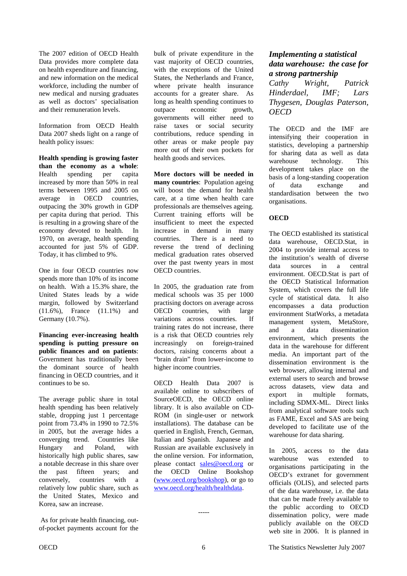<span id="page-5-0"></span>The 2007 edition of OECD Health Data provides more complete data on health expenditure and financing, and new information on the medical workforce, including the number of new medical and nursing graduates as well as doctors' specialisation and their remuneration levels.

Information from OECD Health Data 2007 sheds light on a range of health policy issues:

**Health spending is growing faster than the economy as a whole**: Health spending per capita increased by more than 50% in real terms between 1995 and 2005 on average in OECD countries, outpacing the 30% growth in GDP per capita during that period. This is resulting in a growing share of the economy devoted to health. In 1970, on average, health spending accounted for just 5% of GDP. Today, it has climbed to 9%.

One in four OECD countries now spends more than 10% of its income on health. With a 15.3% share, the United States leads by a wide margin, followed by Switzerland (11.6%), France (11.1%) and Germany (10.7%).

**Financing ever-increasing health spending is putting pressure on public finances and on patients**: Government has traditionally been the dominant source of health financing in OECD countries, and it continues to be so.

The average public share in total health spending has been relatively stable, dropping just 1 percentage point from 73.4% in 1990 to 72.5% in 2005, but the average hides a converging trend. Countries like Hungary and Poland, with historically high public shares, saw a notable decrease in this share over the past fifteen years; and conversely, countries with a relatively low public share, such as the United States, Mexico and Korea, saw an increase.

 As for private health financing, outof-pocket payments account for the

bulk of private expenditure in the vast majority of OECD countries, with the exceptions of the United States, the Netherlands and France, where private health insurance accounts for a greater share. As long as health spending continues to outpace economic growth, governments will either need to raise taxes or social security contributions, reduce spending in other areas or make people pay more out of their own pockets for health goods and services.

**More doctors will be needed in many countries**: Population ageing will boost the demand for health care, at a time when health care professionals are themselves ageing. Current training efforts will be insufficient to meet the expected increase in demand in many countries. There is a need to reverse the trend of declining medical graduation rates observed over the past twenty years in most OECD countries.

In 2005, the graduation rate from medical schools was 35 per 1000 practising doctors on average across OECD countries, with large variations across countries. If training rates do not increase, there is a risk that OECD countries rely increasingly on foreign-trained doctors, raising concerns about a "brain drain" from lower-income to higher income countries.

OECD Health Data 2007 is available online to subscribers of SourceOECD, the OECD online library. It is also available on CD-ROM (in single-user or network installations). The database can be queried in English, French, German, Italian and Spanish. Japanese and Russian are available exclusively in the online version. For information, please contact sales@oecd.org or the OECD Online Bookshop (www.oecd.org/bookshop), or go to www.oecd.org/health/healthdata.

### *Implementing a statistical data warehouse: the case for a strong partnership*

*Cathy Wright, Patrick Hinderdael, IMF; Lars Thygesen, Douglas Paterson, OECD* 

The OECD and the IMF are intensifying their cooperation in statistics, developing a partnership for sharing data as well as data warehouse technology. This development takes place on the basis of a long-standing cooperation of data exchange and standardisation between the two organisations.

#### **OECD**

The OECD established its statistical data warehouse, OECD.Stat, in 2004 to provide internal access to the institution's wealth of diverse data sources in a central environment. OECD.Stat is part of the OECD Statistical Information System, which covers the full life cycle of statistical data. It also encompasses a data production environment StatWorks, a metadata management system, MetaStore, and a data dissemination environment, which presents the data in the warehouse for different media. An important part of the dissemination environment is the web browser, allowing internal and external users to search and browse across datasets, view data and export in multiple formats, including SDMX-ML. Direct links from analytical software tools such as FAME, Excel and SAS are being developed to facilitate use of the warehouse for data sharing.

In 2005, access to the data warehouse was extended to organisations participating in the OECD's extranet for government officials (OLIS), and selected parts of the data warehouse, i.e. the data that can be made freely available to the public according to OECD dissemination policy, were made publicly available on the OECD web site in 2006. It is planned in

-----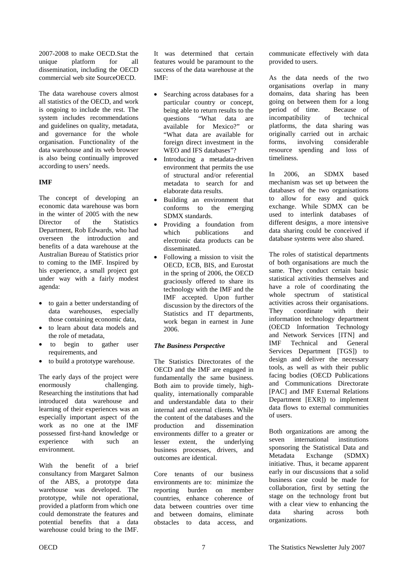2007-2008 to make OECD.Stat the unique platform for all dissemination, including the OECD commercial web site SourceOECD.

The data warehouse covers almost all statistics of the OECD, and work is ongoing to include the rest. The system includes recommendations and guidelines on quality, metadata, and governance for the whole organisation. Functionality of the data warehouse and its web browser is also being continually improved according to users' needs.

#### **IMF**

The concept of developing an economic data warehouse was born in the winter of 2005 with the new Director of the Statistics Department, Rob Edwards, who had overseen the introduction and benefits of a data warehouse at the Australian Bureau of Statistics prior to coming to the IMF. Inspired by his experience, a small project got under way with a fairly modest agenda:

- to gain a better understanding of data warehouses, especially those containing economic data,
- to learn about data models and the role of metadata,
- to begin to gather user requirements, and
- to build a prototype warehouse.

The early days of the project were enormously challenging. Researching the institutions that had introduced data warehouse and learning of their experiences was an especially important aspect of the work as no one at the IMF possessed first-hand knowledge or experience with such an environment.

With the benefit of a brief consultancy from Margaret Salmon of the ABS, a prototype data warehouse was developed. The prototype, while not operational, provided a platform from which one could demonstrate the features and potential benefits that a data warehouse could bring to the IMF.

It was determined that certain features would be paramount to the success of the data warehouse at the IMF:

- Searching across databases for a particular country or concept, being able to return results to the questions "What data are available for Mexico?" or "What data are available for foreign direct investment in the WEO and IFS databases"?
- Introducing a metadata-driven environment that permits the use of structural and/or referential metadata to search for and elaborate data results.
- Building an environment that conforms to the emerging SDMX standards.
- Providing a foundation from which publications and electronic data products can be disseminated.
- Following a mission to visit the OECD, ECB, BIS, and Eurostat in the spring of 2006, the OECD graciously offered to share its technology with the IMF and the IMF accepted. Upon further discussion by the directors of the Statistics and IT departments, work began in earnest in June 2006.

#### *The Business Perspective*

The Statistics Directorates of the OECD and the IMF are engaged in fundamentally the same business. Both aim to provide timely, highquality, internationally comparable and understandable data to their internal and external clients. While the content of the databases and the production and dissemination environments differ to a greater or lesser extent, the underlying business processes, drivers, and outcomes are identical.

Core tenants of our business environments are to: minimize the reporting burden on member countries, enhance coherence of data between countries over time and between domains, eliminate obstacles to data access, and

communicate effectively with data provided to users.

As the data needs of the two organisations overlap in many domains, data sharing has been going on between them for a long period of time. Because of<br>incompatibility of technical incompatibility of platforms, the data sharing was originally carried out in archaic forms, involving considerable resource spending and loss of timeliness.

In 2006, an SDMX based mechanism was set up between the databases of the two organisations to allow for easy and quick exchange. While SDMX can be used to interlink databases of different designs, a more intensive data sharing could be conceived if database systems were also shared.

The roles of statistical departments of both organisations are much the same. They conduct certain basic statistical activities themselves and have a role of coordinating the whole spectrum of statistical activities across their organisations. They coordinate with their information technology department (OECD Information Technology and Network Services [ITN] and IMF Technical and General Services Department [TGS]) to design and deliver the necessary tools, as well as with their public facing bodies (OECD Publications and Communications Directorate [PAC] and IMF External Relations Department [EXR]) to implement data flows to external communities of users.

Both organizations are among the seven international institutions sponsoring the Statistical Data and Metadata Exchange (SDMX) initiative. Thus, it became apparent early in our discussions that a solid business case could be made for collaboration, first by setting the stage on the technology front but with a clear view to enhancing the data sharing across both organizations.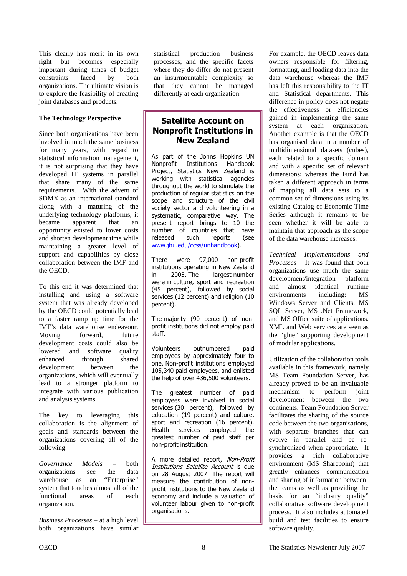This clearly has merit in its own right but becomes especially important during times of budget<br>constraints faced by both constraints faced by organizations. The ultimate vision is to explore the feasibility of creating joint databases and products.

#### **The Technology Perspective**

Since both organizations have been involved in much the same business for many years, with regard to statistical information management, it is not surprising that they have developed IT systems in parallel that share many of the same requirements. With the advent of SDMX as an international standard along with a maturing of the underlying technology platforms, it became apparent that an opportunity existed to lower costs and shorten development time while maintaining a greater level of support and capabilities by close collaboration between the IMF and the OECD.

To this end it was determined that installing and using a software system that was already developed by the OECD could potentially lead to a faster ramp up time for the IMF's data warehouse endeavour. Moving forward, future development costs could also be lowered and software quality enhanced through shared development between the organizations, which will eventually lead to a stronger platform to integrate with various publication and analysis systems.

The key to leveraging this collaboration is the alignment of goals and standards between the organizations covering all of the following:

*Governance Models* – both organizations see the data warehouse as an "Enterprise" system that touches almost all of the functional areas of each organization.

*Business Processes* – at a high level both organizations have similar

statistical production business processes; and the specific facets where they do differ do not present an insurmountable complexity so that they cannot be managed differently at each organization.

### **Satellite Account on Nonprofit Institutions in New Zealand**

As part of the Johns Hopkins UN Nonnrofit Institutions Handbook Project, Statistics New Zealand is working with statistical agencies throughout the world to stimulate the production of regular statistics on the scope and structure of the civil society sector and volunteering in a systematic, comparative way. The present report brings to 10 the number of countries that have released such reports (see www.ihu.edu/ccss/unhandbook).

There were 97,000 non-profit institutions operating in New Zealand in 2005. The largest number were in culture, sport and recreation (45 percent), followed by social services (12 percent) and religion (10 percent).

The majority (90 percent) of nonprofit institutions did not employ paid staff.

Volunteers outnumbered paid employees by approximately four to one. Non-profit institutions employed 105,340 paid employees, and enlisted the help of over 436,500 volunteers.

The greatest number of paid employees were involved in social services (30 percent), followed by education (19 percent) and culture, sport and recreation (16 percent). Health services employed the greatest number of paid staff per non-profit institution.

A more detailed report, Non-Profit Institutions Satellite Account is due on 28 August 2007. The report will measure the contribution of nonprofit institutions to the New Zealand economy and include a valuation of volunteer labour given to non-profit organisations.

For example, the OECD leaves data owners responsible for filtering, formatting, and loading data into the data warehouse whereas the IMF has left this responsibility to the IT and Statistical departments. This difference in policy does not negate the effectiveness or efficiencies gained in implementing the same system at each organization. Another example is that the OECD has organised data in a number of multidimensional datasets (cubes), each related to a specific domain and with a specific set of relevant dimensions; whereas the Fund has taken a different approach in terms of mapping all data sets to a common set of dimensions using its existing Catalog of Economic Time Series although it remains to be seen whether it will be able to maintain that approach as the scope of the data warehouse increases.

*Technical Implementations and Processes* – It was found that both organizations use much the same development/integration platform and almost identical runtime environments including: MS Windows Server and Clients, MS SQL Server, MS .Net Framework, and MS Office suite of applications. XML and Web services are seen as the "glue" supporting development of modular applications.

Utilization of the collaboration tools available in this framework, namely MS Team Foundation Server, has already proved to be an invaluable mechanism to perform joint development between the two continents. Team Foundation Server facilitates the sharing of the source code between the two organisations, with separate branches that can evolve in parallel and be resynchronized when appropriate. It provides a rich collaborative environment (MS Sharepoint) that greatly enhances communication and sharing of information between the teams as well as providing the basis for an "industry quality" collaborative software development process. It also includes automated build and test facilities to ensure software quality.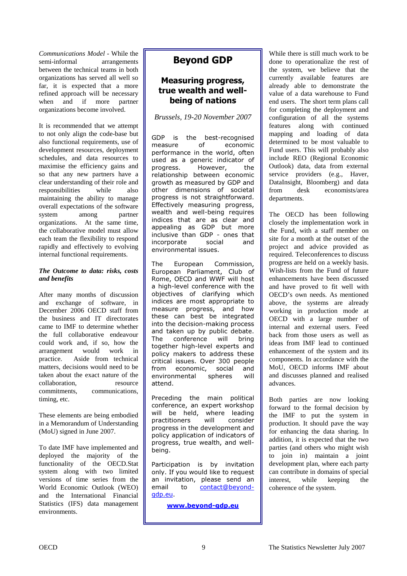*Communications Model* - While the semi-informal arrangements between the technical teams in both organizations has served all well so far, it is expected that a more refined approach will be necessary when and if more partner organizations become involved.

It is recommended that we attempt to not only align the code-base but also functional requirements, use of development resources, deployment schedules, and data resources to maximise the efficiency gains and so that any new partners have a clear understanding of their role and responsibilities while also maintaining the ability to manage overall expectations of the software system among partner organizations. At the same time, the collaborative model must allow each team the flexibility to respond rapidly and effectively to evolving internal functional requirements.

#### *The Outcome to data: risks, costs and benefits*

After many months of discussion and exchange of software, in December 2006 OECD staff from the business and IT directorates came to IMF to determine whether the full collaborative endeavour could work and, if so, how the arrangement would work in practice. Aside from technical matters, decisions would need to be taken about the exact nature of the collaboration. The resource commitments, communications, timing, etc.

These elements are being embodied in a Memorandum of Understanding (MoU) signed in June 2007.

To date IMF have implemented and deployed the majority of the functionality of the OECD.Stat system along with two limited versions of time series from the World Economic Outlook (WEO) and the International Financial Statistics (IFS) data management environments.

# **Beyond GDP**

## **Measuring progress,** true wealth and well**being of nations**

### *Brussels, 19-20 November 2007*

GDP is the best-recognised measure  $\bigcap_{i=1}^n$ economic performance in the world, often used as a generic indicator of progress. ss. Howeve r, the relationship between economic growth as measured by GDP and other dimensions of societal progress is not straightforward. Effectively measuring progress, wealth and well-being requires indices that are as clear and appealing as GDP but more inclusive than GDP - ones that incorporate social and environmental issues.

The **Furopean** Commission. European Parliament, Club of Rome, OECD and WWF will host a high-level conference with the objectives of clarifying which indices are most appropriate to measure progress, and how these can best be integrated into the decision-making process and taken up by public debate. -The conference will brina together high-level experts and policy makers to address these critical issues. Over 300 people from economic, social and environme ntal sphere will attend.

Preceding the main political conference, an expert workshop will be held, where leading practitioners rs will consider progress in the development and policy application of indicators of progress, true wealth, and wellbeing.

Participation is by invitation only. If you would like to request an invitation, please send an email mail to contact@beyond[-](mailto:contact@beyond-gdp.eu)<u>gdp.eu</u>

<u>**www.beyond-gdp.eu**</u>

While there is still much work to be done to operationalize the rest of the system, we believe that the currently available features are already able to demonstrate the value of a data warehouse to Fund end users. The short term plans call for completing the deployment and configuration of all the systems features along with continued mapping and loading of data determined to be most valuable to Fund users. This will probably also include REO (Regional Economic Outlook) data, data from external service providers (e.g., Haver, DataInsight, Bloomberg) and data from desk economists/area departments.

The OECD has been following closely the implementation work in the Fund, with a staff member on site for a month at the outset of the project and advice provided as required. Teleconferences to discuss progress are held on a weekly basis. Wish-lists from the Fund of future enhancements have been discussed and have proved to fit well with OECD's own needs. As mentioned above, the systems are already working in production mode at OECD with a large number of internal and external users. Feed back from those users as well as ideas from IMF lead to continued enhancement of the system and its components. In accordance with the MoU, OECD informs IMF about and discusses planned and realised advances.

Both parties are now looking forward to the formal decision by the IMF to put the system in production. It should pave the way for enhancing the data sharing. In addition, it is expected that the two parties (and others who might wish to join in) maintain a joint development plan, where each party can contribute in domains of special interest, while keeping the coherence of the system.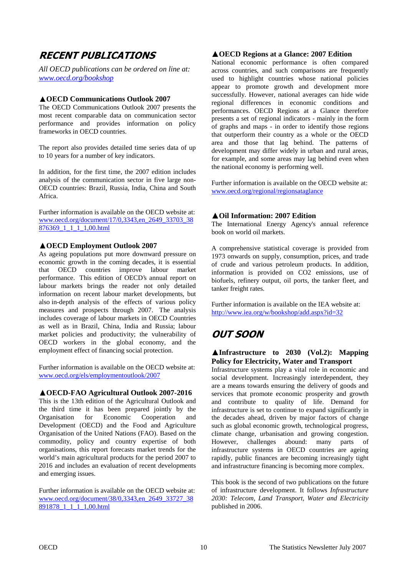# <span id="page-9-0"></span>**RECENT PUBLICATIONS**

*All OECD publications can be ordered on line at: www.oecd.org/bookshop*

#### **OECD Communications Outlook 2007**

The OECD Communications Outlook 2007 presents the most recent comparable data on communication sector performance and provides information on policy frameworks in OECD countries.

The report also provides detailed time series data of up to 10 years for a number of key indicators.

In addition, for the first time, the 2007 edition includes analysis of the communication sector in five large non-OECD countries: Brazil, Russia, India, China and South Africa.

Further information is available on the OECD website at: [www.oecd.org/document/17/0,3343,en\\_2649\\_33703\\_38](http://www.oecd.org/document/17/0,3343,en_2649_33703_38876369_1_1_1_1,00.html) 876369\_1\_1\_1\_1,00.html

#### **OECD Employment Outlook 2007**

As ageing populations put more downward pressure on economic growth in the coming decades, it is essential that OECD countries improve labour market performance. This edition of OECD's annual report on labour markets brings the reader not only detailed information on recent labour market developments, but also in-depth analysis of the effects of various policy measures and prospects through 2007. The analysis includes coverage of labour markets in OECD Countries as well as in Brazil, China, India and Russia; labour market policies and productivity; the vulnerability of OECD workers in the global economy, and the employment effect of financing social protection.

Further information is available on the OECD website at: www.oecd.org/els/employmentoutlook/2007

#### **OECD-FAO Agricultural Outlook 2007-2016**

This is the 13th edition of the Agricultural Outlook and the third time it has been prepared jointly by the Organisation for Economic Cooperation and Development (OECD) and the Food and Agriculture Organisation of the United Nations (FAO). Based on the commodity, policy and country expertise of both organisations, this report forecasts market trends for the world's main agricultural products for the period 2007 to 2016 and includes an evaluation of recent developments and emerging issues.

Further information is available on the OECD website at: [www.oecd.org/document/38/0,3343,en\\_2649\\_33727\\_38](http://www.oecd.org/document/38/0,3343,en_2649_33727_38891878_1_1_1_1,00.html) 891878 1 1 1 1,00.html

#### **OECD Regions at a Glance: 2007 Edition**

National economic performance is often compared across countries, and such comparisons are frequently used to highlight countries whose national policies appear to promote growth and development more successfully. However, national averages can hide wide regional differences in economic conditions and performances. OECD Regions at a Glance therefore presents a set of regional indicators - mainly in the form of graphs and maps - in order to identify those regions that outperform their country as a whole or the OECD area and those that lag behind. The patterns of development may differ widely in urban and rural areas, for example, and some areas may lag behind even when the national economy is performing well.

Further information is available on the OECD website at: www.oecd.org/regional/regionsataglance

#### **Oil Information: 2007 Edition**

The International Energy Agency's annual reference book on world oil markets.

A comprehensive statistical coverage is provided from 1973 onwards on supply, consumption, prices, and trade of crude and various petroleum products. In addition, information is provided on CO2 emissions, use of biofuels, refinery output, oil ports, the tanker fleet, and tanker freight rates.

Further information is available on the IEA website at: http://www.iea.org/w/bookshop/add.aspx?id=32

# **OUT SOON**

#### **Infrastructure to 2030 (Vol.2): Mapping Policy for Electricity, Water and Transport**

Infrastructure systems play a vital role in economic and social development. Increasingly interdependent, they are a means towards ensuring the delivery of goods and services that promote economic prosperity and growth and contribute to quality of life. Demand for infrastructure is set to continue to expand significantly in the decades ahead, driven by major factors of change such as global economic growth, technological progress, climate change, urbanisation and growing congestion. However, challenges abound: many parts of infrastructure systems in OECD countries are ageing rapidly, public finances are becoming increasingly tight and infrastructure financing is becoming more complex.

This book is the second of two publications on the future of infrastructure development. It follows *Infrastructure 2030: Telecom, Land Transport, Water and Electricity* published in 2006.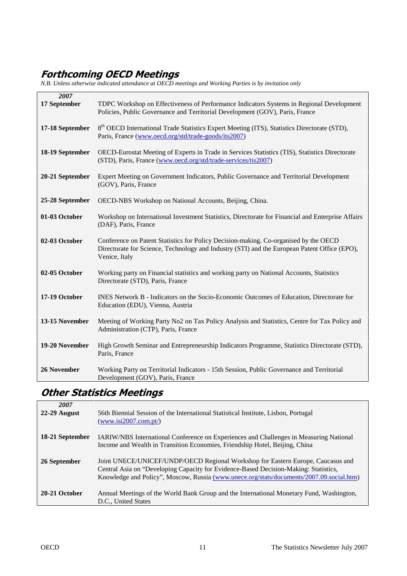# <span id="page-10-0"></span>Forthcoming OECD Meetings

*N.B. Unless otherwise indicated attendance at OECD meetings and Working Parties is by invitation only* 

| 2007               |                                                                                                                                                                                                       |
|--------------------|-------------------------------------------------------------------------------------------------------------------------------------------------------------------------------------------------------|
| 17 September       | TDPC Workshop on Effectiveness of Performance Indicators Systems in Regional Development<br>Policies, Public Governance and Territorial Development (GOV), Paris, France                              |
| 17-18 September    | 8 <sup>th</sup> OECD International Trade Statistics Expert Meeting (ITS), Statistics Directorate (STD),<br>Paris, France (www.oecd.org/std/trade-goods/its2007)                                       |
| 18-19 September    | OECD-Eurostat Meeting of Experts in Trade in Services Statistics (TIS), Statistics Directorate<br>(STD), Paris, France (www.oecd.org/std/trade-services/tis2007)                                      |
| 20-21 September    | Expert Meeting on Government Indicators, Public Governance and Territorial Development<br>(GOV), Paris, France                                                                                        |
| 25-28 September    | OECD-NBS Workshop on National Accounts, Beijing, China.                                                                                                                                               |
| 01-03 October      | Workshop on International Investment Statistics, Directorate for Financial and Enterprise Affairs<br>(DAF), Paris, France                                                                             |
| 02-03 October      | Conference on Patent Statistics for Policy Decision-making. Co-organised by the OECD<br>Directorate for Science, Technology and Industry (STI) and the European Patent Office (EPO),<br>Venice, Italy |
| 02-05 October      | Working party on Financial statistics and working party on National Accounts, Statistics<br>Directorate (STD), Paris, France                                                                          |
| 17-19 October      | INES Network B - Indicators on the Socio-Economic Outcomes of Education, Directorate for<br>Education (EDU), Vienna, Austria                                                                          |
| 13-15 November     | Meeting of Working Party No2 on Tax Policy Analysis and Statistics, Centre for Tax Policy and<br>Administration (CTP), Paris, France                                                                  |
| 19-20 November     | High Growth Seminar and Entrepreneurship Indicators Programme, Statistics Directorate (STD),<br>Paris, France                                                                                         |
| <b>26 November</b> | Working Party on Territorial Indicators - 15th Session, Public Governance and Territorial<br>Development (GOV), Paris, France                                                                         |

# **Other Statistics Meetings**

| 2007            |                                                                                                                                                                                                                                                                     |
|-----------------|---------------------------------------------------------------------------------------------------------------------------------------------------------------------------------------------------------------------------------------------------------------------|
| $22-29$ August  | 56th Biennial Session of the International Statistical Institute, Lisbon, Portugal<br>$(www.isi2007.com\npt)$                                                                                                                                                       |
| 18-21 September | <b>IARIW/NBS</b> International Conference on Experiences and Challenges in Measuring National<br>Income and Wealth in Transition Economies, Friendship Hotel, Beijing, China                                                                                        |
| 26 September    | Joint UNECE/UNICEF/UNDP/OECD Regional Workshop for Eastern Europe, Caucasus and<br>Central Asia on "Developing Capacity for Evidence-Based Decision-Making: Statistics,<br>Knowledge and Policy", Moscow, Russia (www.unece.org/stats/documents/2007.09.social.htm) |
| 20-21 October   | Annual Meetings of the World Bank Group and the International Monetary Fund, Washington,                                                                                                                                                                            |
|                 | D.C., United States                                                                                                                                                                                                                                                 |